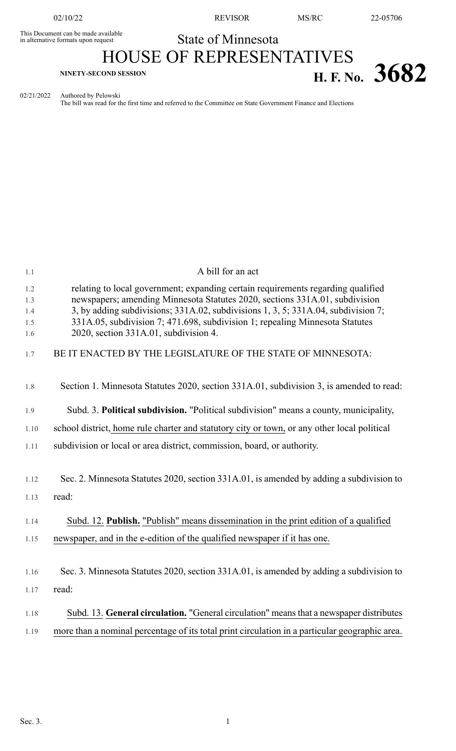This Document can be made available<br>in alternative formats upon request

02/10/22 REVISOR MS/RC 22-05706

## State of Minnesota HOUSE OF REPRESENTATIVES

# **H. F. NO.** 3682

02/21/2022 Authored by Pelowski

The bill was read for the first time and referred to the Committee on State Government Finance and Elections

| 1.1                             | A bill for an act                                                                                                                                                                                                                                                                                                                                                             |
|---------------------------------|-------------------------------------------------------------------------------------------------------------------------------------------------------------------------------------------------------------------------------------------------------------------------------------------------------------------------------------------------------------------------------|
| 1.2<br>1.3<br>1.4<br>1.5<br>1.6 | relating to local government; expanding certain requirements regarding qualified<br>newspapers; amending Minnesota Statutes 2020, sections 331A.01, subdivision<br>3, by adding subdivisions; 331A.02, subdivisions 1, 3, 5; 331A.04, subdivision 7;<br>331A.05, subdivision 7; 471.698, subdivision 1; repealing Minnesota Statutes<br>2020, section 331A.01, subdivision 4. |
| 1.7                             | BE IT ENACTED BY THE LEGISLATURE OF THE STATE OF MINNESOTA:                                                                                                                                                                                                                                                                                                                   |
| 1.8                             | Section 1. Minnesota Statutes 2020, section 331A.01, subdivision 3, is amended to read:                                                                                                                                                                                                                                                                                       |
| 1.9                             | Subd. 3. Political subdivision. "Political subdivision" means a county, municipality,                                                                                                                                                                                                                                                                                         |
| 1.10                            | school district, home rule charter and statutory city or town, or any other local political                                                                                                                                                                                                                                                                                   |
| 1.11                            | subdivision or local or area district, commission, board, or authority.                                                                                                                                                                                                                                                                                                       |
| 1.12                            | Sec. 2. Minnesota Statutes 2020, section 331A.01, is amended by adding a subdivision to                                                                                                                                                                                                                                                                                       |
| 1.13                            | read:                                                                                                                                                                                                                                                                                                                                                                         |
| 1.14                            | Subd. 12. Publish. "Publish" means dissemination in the print edition of a qualified                                                                                                                                                                                                                                                                                          |
| 1.15                            | newspaper, and in the e-edition of the qualified newspaper if it has one.                                                                                                                                                                                                                                                                                                     |
| 1.16                            | Sec. 3. Minnesota Statutes 2020, section 331A.01, is amended by adding a subdivision to                                                                                                                                                                                                                                                                                       |
| 1.17                            | read:                                                                                                                                                                                                                                                                                                                                                                         |
| 1.18                            | Subd. 13. General circulation. "General circulation" means that a newspaper distributes                                                                                                                                                                                                                                                                                       |
| 1.19                            | more than a nominal percentage of its total print circulation in a particular geographic area.                                                                                                                                                                                                                                                                                |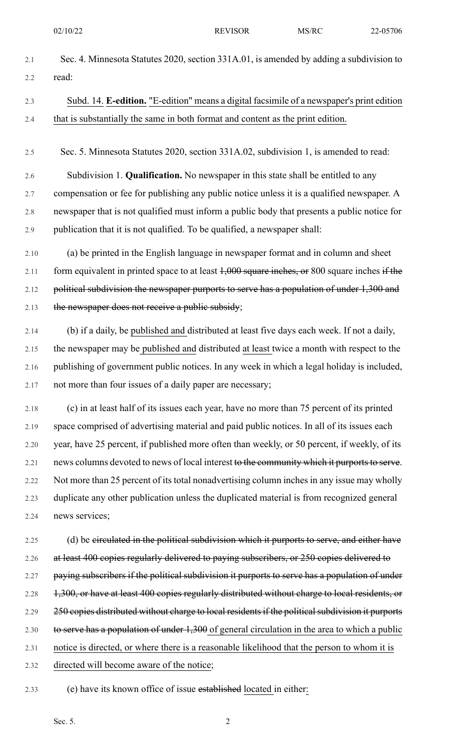- 2.1 Sec. 4. Minnesota Statutes 2020, section 331A.01, is amended by adding a subdivision to 2.2 read:
- 2.3 Subd. 14. **E-edition.** "E-edition" means a digital facsimile of a newspaper's print edition 2.4 that is substantially the same in both format and content as the print edition.
- 2.5 Sec. 5. Minnesota Statutes 2020, section 331A.02, subdivision 1, is amended to read:

2.6 Subdivision 1. **Qualification.** No newspaper in this state shall be entitled to any 2.7 compensation or fee for publishing any public notice unless it is a qualified newspaper. A 2.8 newspaper that is not qualified must inform a public body that presents a public notice for 2.9 publication that it is not qualified. To be qualified, a newspaper shall:

- 2.10 (a) be printed in the English language in newspaper format and in column and sheet 2.11 form equivalent in printed space to at least  $1,000$  square inches, or 800 square inches if the 2.12 political subdivision the newspaper purports to serve has a population of under 1,300 and 2.13 the newspaper does not receive a public subsidy;
- 2.14 (b) if a daily, be published and distributed at least five days each week. If not a daily, 2.15 the newspaper may be published and distributed at least twice a month with respect to the 2.16 publishing of government public notices. In any week in which a legal holiday is included, 2.17 not more than four issues of a daily paper are necessary;
- 2.18 (c) in at least half of its issues each year, have no more than 75 percent of its printed 2.19 space comprised of advertising material and paid public notices. In all of its issues each 2.20 year, have 25 percent, if published more often than weekly, or 50 percent, if weekly, of its 2.21 news columns devoted to news of local interest to the community which it purports to serve. 2.22 Not more than 25 percent of its total nonadvertising column inches in any issue may wholly 2.23 duplicate any other publication unless the duplicated material is from recognized general 2.24 news services;
- 2.25 (d) be circulated in the political subdivision which it purports to serve, and either have 2.26 at least 400 copies regularly delivered to paying subscribers, or 250 copies delivered to 2.27 paying subscribers if the political subdivision it purports to serve has a population of under 2.28 1,300, or have at least 400 copies regularly distributed without charge to local residents, or 2.29 250 copies distributed without charge to local residents if the political subdivision it purports 2.30 to serve has a population of under 1,300 of general circulation in the area to which a public 2.31 notice is directed, or where there is a reasonable likelihood that the person to whom it is 2.32 directed will become aware of the notice;
- 2.33 (e) have its known office of issue established located in either: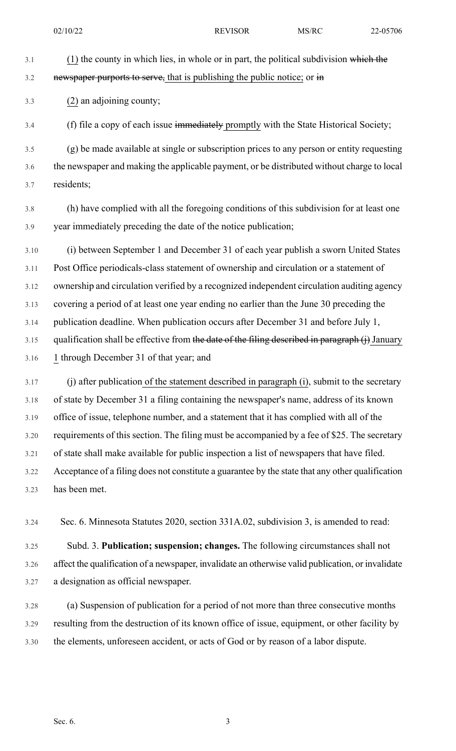3.1 (1) the county in which lies, in whole or in part, the political subdivision which the  $3.2$  newspaper purports to serve, that is publishing the public notice; or  $\frac{1}{2}$ 3.3 (2) an adjoining county;

3.4 (f) file a copy of each issue immediately promptly with the State Historical Society;

3.5 (g) be made available at single or subscription prices to any person or entity requesting 3.6 the newspaper and making the applicable payment, or be distributed without charge to local 3.7 residents;

3.8 (h) have complied with all the foregoing conditions of this subdivision for at least one 3.9 year immediately preceding the date of the notice publication;

3.10 (i) between September 1 and December 31 of each year publish a sworn United States 3.11 Post Office periodicals-class statement of ownership and circulation or a statement of 3.12 ownership and circulation verified by a recognized independent circulation auditing agency 3.13 covering a period of at least one year ending no earlier than the June 30 preceding the 3.14 publication deadline. When publication occurs after December 31 and before July 1, 3.15 qualification shall be effective from the date of the filing described in paragraph (j) January 3.16 1 through December 31 of that year; and

3.17 (j) after publication of the statement described in paragraph (i), submit to the secretary 3.18 of state by December 31 a filing containing the newspaper's name, address of its known 3.19 office of issue, telephone number, and a statement that it has complied with all of the 3.20 requirements of this section. The filing must be accompanied by a fee of \$25. The secretary 3.21 of state shall make available for public inspection a list of newspapers that have filed. 3.22 Acceptance of a filing does not constitute a guarantee by the state that any other qualification 3.23 has been met.

3.24 Sec. 6. Minnesota Statutes 2020, section 331A.02, subdivision 3, is amended to read:

3.25 Subd. 3. **Publication; suspension; changes.** The following circumstances shall not 3.26 affect the qualification of a newspaper, invalidate an otherwise valid publication, or invalidate 3.27 a designation as official newspaper.

3.28 (a) Suspension of publication for a period of not more than three consecutive months 3.29 resulting from the destruction of its known office of issue, equipment, or other facility by 3.30 the elements, unforeseen accident, or acts of God or by reason of a labor dispute.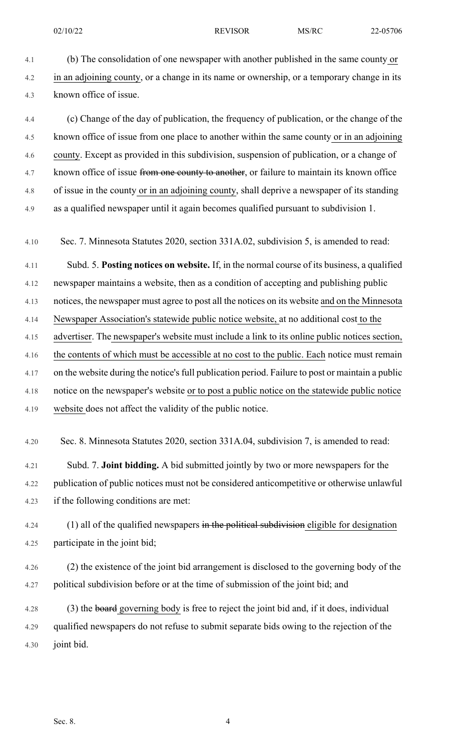4.1 (b) The consolidation of one newspaper with another published in the same county or 4.2 in an adjoining county, or a change in its name or ownership, or a temporary change in its 4.3 known office of issue.

4.4 (c) Change of the day of publication, the frequency of publication, or the change of the 4.5 known office of issue from one place to another within the same county or in an adjoining 4.6 county. Except as provided in this subdivision, suspension of publication, or a change of 4.7 known office of issue from one county to another, or failure to maintain its known office 4.8 of issue in the county or in an adjoining county, shall deprive a newspaper of its standing 4.9 as a qualified newspaper until it again becomes qualified pursuant to subdivision 1.

4.10 Sec. 7. Minnesota Statutes 2020, section 331A.02, subdivision 5, is amended to read:

4.11 Subd. 5. **Posting notices on website.** If, in the normal course of its business, a qualified 4.12 newspaper maintains a website, then as a condition of accepting and publishing public 4.13 notices, the newspaper must agree to post all the notices on its website and on the Minnesota 4.14 Newspaper Association's statewide public notice website, at no additional cost to the 4.15 advertiser. The newspaper's website must include a link to its online public notices section, 4.16 the contents of which must be accessible at no cost to the public. Each notice must remain 4.17 on the website during the notice's full publication period. Failure to post or maintain a public 4.18 notice on the newspaper's website or to post a public notice on the statewide public notice 4.19 website does not affect the validity of the public notice.

4.20 Sec. 8. Minnesota Statutes 2020, section 331A.04, subdivision 7, is amended to read:

4.21 Subd. 7. **Joint bidding.** A bid submitted jointly by two or more newspapers for the 4.22 publication of public notices must not be considered anticompetitive or otherwise unlawful 4.23 if the following conditions are met:

 $4.24$  (1) all of the qualified newspapers in the political subdivision eligible for designation 4.25 participate in the joint bid;

4.26 (2) the existence of the joint bid arrangement is disclosed to the governing body of the 4.27 political subdivision before or at the time of submission of the joint bid; and

4.28 (3) the board governing body is free to reject the joint bid and, if it does, individual 4.29 qualified newspapers do not refuse to submit separate bids owing to the rejection of the 4.30 joint bid.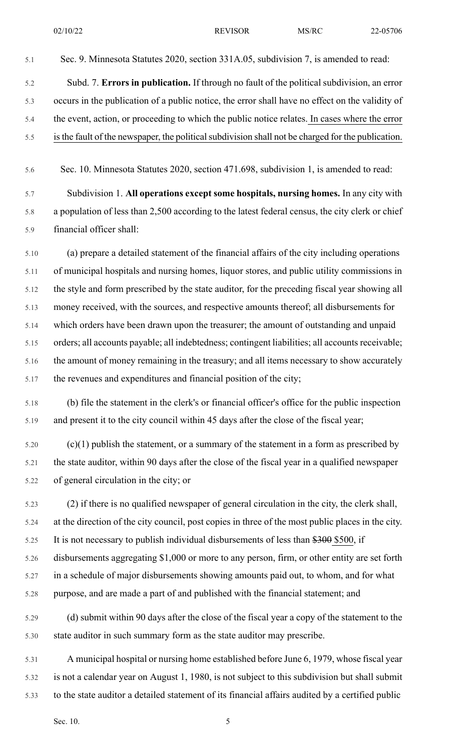5.1 Sec. 9. Minnesota Statutes 2020, section 331A.05, subdivision 7, is amended to read:

- 5.2 Subd. 7. **Errors in publication.** If through no fault of the political subdivision, an error 5.3 occurs in the publication of a public notice, the error shall have no effect on the validity of 5.4 the event, action, or proceeding to which the public notice relates. In cases where the error 5.5 is the fault of the newspaper, the political subdivision shall not be charged for the publication.
- 5.6 Sec. 10. Minnesota Statutes 2020, section 471.698, subdivision 1, is amended to read:

5.7 Subdivision 1. **All operations except some hospitals, nursing homes.** In any city with 5.8 a population of less than 2,500 according to the latest federal census, the city clerk or chief 5.9 financial officer shall:

5.10 (a) prepare a detailed statement of the financial affairs of the city including operations 5.11 of municipal hospitals and nursing homes, liquor stores, and public utility commissions in 5.12 the style and form prescribed by the state auditor, for the preceding fiscal year showing all 5.13 money received, with the sources, and respective amounts thereof; all disbursements for 5.14 which orders have been drawn upon the treasurer; the amount of outstanding and unpaid 5.15 orders; all accounts payable; all indebtedness; contingent liabilities; all accounts receivable; 5.16 the amount of money remaining in the treasury; and all items necessary to show accurately 5.17 the revenues and expenditures and financial position of the city;

- 5.18 (b) file the statement in the clerk's or financial officer's office for the public inspection 5.19 and present it to the city council within 45 days after the close of the fiscal year;
- $5.20$  (c)(1) publish the statement, or a summary of the statement in a form as prescribed by 5.21 the state auditor, within 90 days after the close of the fiscal year in a qualified newspaper 5.22 of general circulation in the city; or

5.23 (2) if there is no qualified newspaper of general circulation in the city, the clerk shall, 5.24 at the direction of the city council, post copies in three of the most public places in the city. 5.25 It is not necessary to publish individual disbursements of less than \$300 \$500, if 5.26 disbursements aggregating \$1,000 or more to any person, firm, or other entity are set forth 5.27 in a schedule of major disbursements showing amounts paid out, to whom, and for what 5.28 purpose, and are made a part of and published with the financial statement; and

- 5.29 (d) submit within 90 days after the close of the fiscal year a copy of the statement to the 5.30 state auditor in such summary form as the state auditor may prescribe.
- 5.31 A municipal hospital or nursing home established before June 6, 1979, whose fiscal year 5.32 is not a calendar year on August 1, 1980, is not subject to this subdivision but shall submit 5.33 to the state auditor a detailed statement of its financial affairs audited by a certified public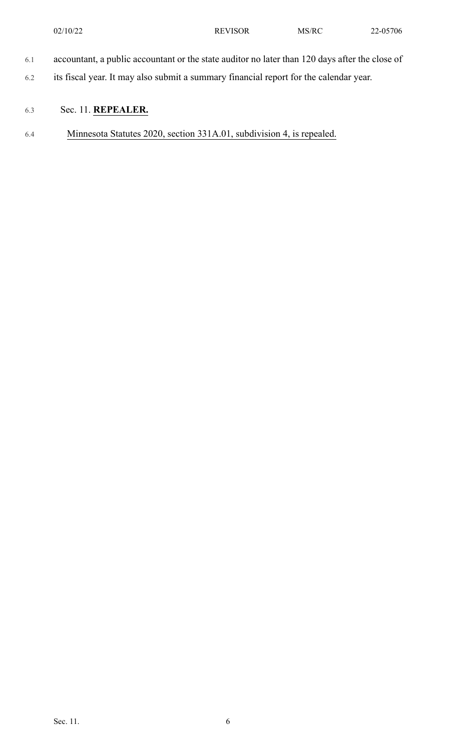- 6.1 accountant, a public accountant or the state auditor no later than 120 days after the close of
- 6.2 its fiscal year. It may also submit a summary financial report for the calendar year.

## 6.3 Sec. 11. **REPEALER.**

6.4 Minnesota Statutes 2020, section 331A.01, subdivision 4, is repealed.